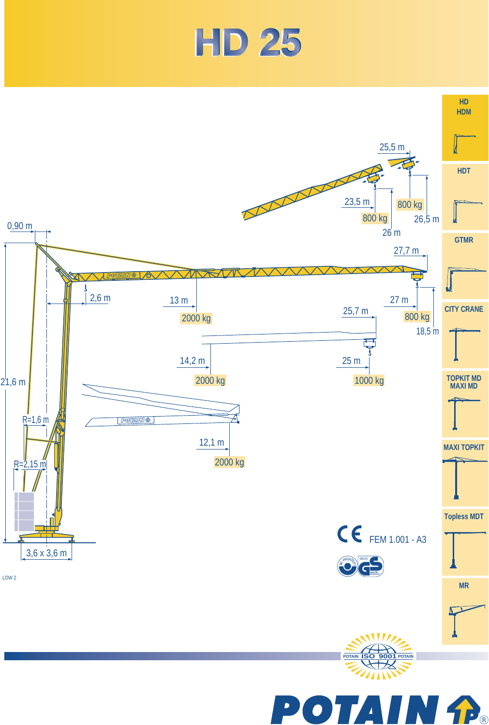

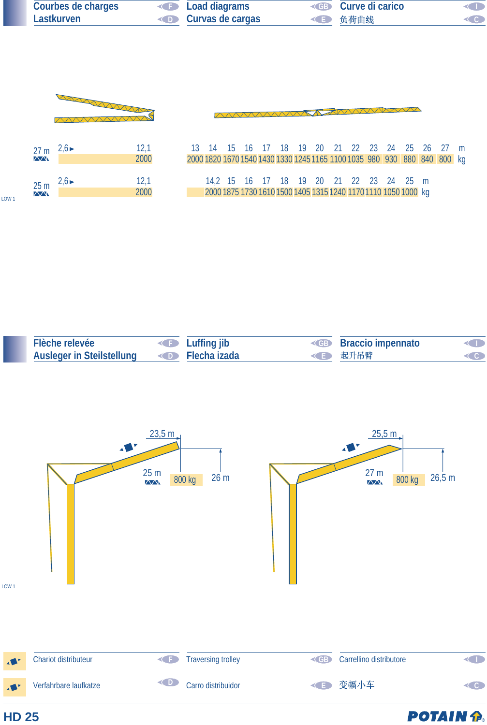| <b>Courbes de charges</b> | <b>Example 2</b> Load diagrams | <b>Curve di carico</b> | O                   |
|---------------------------|--------------------------------|------------------------|---------------------|
| Lastkurven                | <b>Curvas de cargas</b>        | <b>E</b> 负荷曲线          | $\langle 0 \rangle$ |

*AAAAAAAA* 



| 27 <sub>m</sub><br>$\sqrt{N}$ | $2,6 \blacktriangleright$ | 12,1<br>2000 |
|-------------------------------|---------------------------|--------------|
| 25 <sub>m</sub><br>$\sqrt{N}$ | $2,6 \blacktriangleright$ | 12,1<br>2000 |

LOW 1

**HD 25** 

| 12,1 |  |  |  |  |                                                                |  |  | 13 14 15 16 17 18 19 20 21 22 23 24 25 26 27 m                           |  |
|------|--|--|--|--|----------------------------------------------------------------|--|--|--------------------------------------------------------------------------|--|
| 2000 |  |  |  |  |                                                                |  |  | 2000 1820 1670 1540 1430 1330 1245 1165 1100 1035 980 930 880 840 800 kg |  |
|      |  |  |  |  |                                                                |  |  |                                                                          |  |
| 12,1 |  |  |  |  | 14,2 15 16 17 18 19 20 21 22 23 24 25 m                        |  |  |                                                                          |  |
| 2000 |  |  |  |  | 2000 1875 1730 1610 1500 1405 1315 1240 1170 1110 1050 1000 kg |  |  |                                                                          |  |

 $\overline{\Lambda}$ 

XXXXXXXXXX

| Flèche relevée                                   | <b>I</b> Luffing jib | <b>Example 3 Service Strategier Strategier Strategier Strategier Strategier Strategier Strategier Strategier Strategier Strategier Strategier Strategier Strategier Strategier Strategier Strategier Strategier Strategier Strat</b> | <b>KID</b>        |
|--------------------------------------------------|----------------------|--------------------------------------------------------------------------------------------------------------------------------------------------------------------------------------------------------------------------------------|-------------------|
| Ausleger in Steilstellung <b>CO</b> Flecha izada |                      | <b>ID</b> 起升吊臂                                                                                                                                                                                                                       | $\triangleleft$ C |



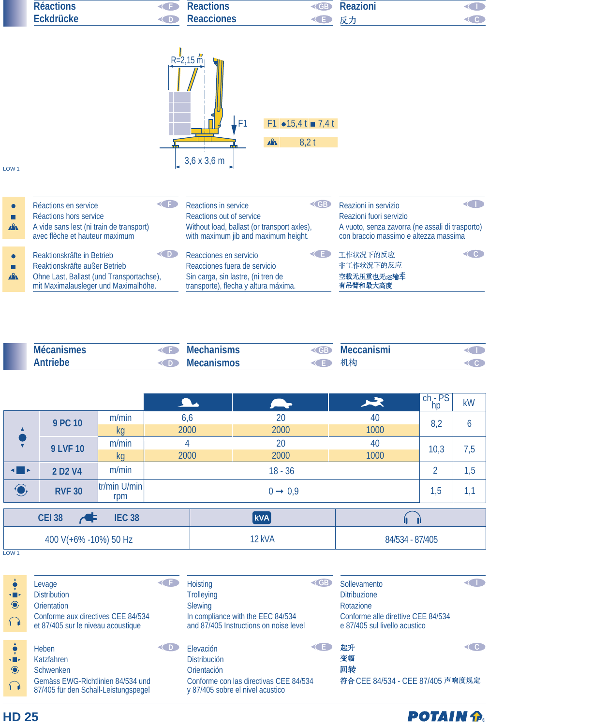| <b>Réactions</b> |        | <b>Reactions</b>  | CGK.       | Reazioni |  |
|------------------|--------|-------------------|------------|----------|--|
| Eckdrücke        | $\sim$ | <b>Reacciones</b> | <b>CEP</b> |          |  |
|                  |        |                   |            |          |  |



## LOW 1

| $\mathbf{A}$ | Réactions en service                                                                                                                            | Reactions in service                                                                                                                        | Reazioni in servizio                                   |
|--------------|-------------------------------------------------------------------------------------------------------------------------------------------------|---------------------------------------------------------------------------------------------------------------------------------------------|--------------------------------------------------------|
|              | Réactions hors service                                                                                                                          | Reactions out of service                                                                                                                    | Reazioni fuori servizio                                |
|              | A vide sans lest (ni train de transport)                                                                                                        | Without load, ballast (or transport axles),                                                                                                 | A vuoto, senza zavorra (ne assali di trasporto)        |
|              | avec flèche et hauteur maximum                                                                                                                  | with maximum jib and maximum height.                                                                                                        | con braccio massimo e altezza massima                  |
| $\mathbf{A}$ | Reaktionskräfte in Betrieb<br>Reaktionskräfte außer Betrieb<br>Ohne Last, Ballast (und Transportachse),<br>mit Maximalausleger und Maximalhöhe. | Reacciones en servicio<br>≺∟⊧<br>Reacciones fuera de servicio<br>Sin carga, sin lastre, (ni tren de<br>transporte), flecha y altura máxima. | 工作状况下的反应<br>CG.<br>非工作状况下的反应<br>空载无压重也无运输车<br>有吊臂和最大高度 |

| <b>Mécanismes</b> |    | Mechanisms        | - 30 | Meccanismi |  |
|-------------------|----|-------------------|------|------------|--|
| <b>\ntriebe</b>   | D. | <b>Mecanismos</b> |      | 稻          |  |

|                       |                                 |                        | $\overline{\phantom{a}}$ | $\rightarrow$  | $\blacktriangleright$ | $\frac{\text{ch}-\text{PS}}{\text{hp}}$ | <b>kW</b> |
|-----------------------|---------------------------------|------------------------|--------------------------|----------------|-----------------------|-----------------------------------------|-----------|
|                       | 9 PC 10                         | m/min                  | 6,6                      | 20             | 40                    | 8,2                                     | 6         |
| $\hat{\bullet}$       |                                 | kg                     | 2000                     | 2000           | 1000                  |                                         |           |
|                       | <b>9 LVF 10</b>                 | m/min                  | 4                        | 20             | 40                    |                                         |           |
|                       |                                 | kg                     | 2000                     | 2000           | 1000                  | 10,3                                    | 7,5       |
| $\blacksquare$        | 2 D <sub>2</sub> V <sub>4</sub> | m/min                  |                          | $\overline{2}$ | 1,5                   |                                         |           |
| $\bigodot$            | <b>RVF 30</b>                   | $ tr/min$ U/min<br>rpm |                          | 1,5            | 1,1                   |                                         |           |
|                       |                                 |                        |                          |                |                       |                                         |           |
|                       | <b>CEI 38</b>                   | <b>IEC 38</b>          |                          | <b>kVA</b>     |                       |                                         |           |
| 400 V(+6% -10%) 50 Hz |                                 |                        |                          | 12 kVA         | 84/534 - 87/405       |                                         |           |

L<sub>OW</sub><sub>1</sub>

**HD 25**

| $\blacksquare$<br>$\bigcirc$<br>$\bigcap$ | Levage<br><b>Distribution</b><br><b>Orientation</b><br>Conforme aux directives CEE 84/534<br>et 87/405 sur le niveau acoustique    |        | <b>Hoisting</b><br><b>Trolleying</b><br><b>Slewing</b><br>In compliance with the EEC 84/534<br>and 87/405 Instructions on noise level | CGB) | Sollevamento<br><b>Ditribuzione</b><br>Rotazione<br>Conforme alle direttive CEE 84/534<br>e 87/405 sul livello acustico |     |
|-------------------------------------------|------------------------------------------------------------------------------------------------------------------------------------|--------|---------------------------------------------------------------------------------------------------------------------------------------|------|-------------------------------------------------------------------------------------------------------------------------|-----|
| $\blacksquare$<br>$\odot$<br>$\bigcap$    | <b>Heben</b><br><b>Katzfahren</b><br><b>Schwenken</b><br>Gemäss EWG-Richtlinien 84/534 und<br>87/405 für den Schall-Leistungspegel | 30 D L | Elevación<br><b>Distribución</b><br><b>Orientación</b><br>Conforme con las directivas CEE 84/534<br>y 87/405 sobre el nivel acustico  |      | 起升<br>变幅<br>回转<br>符合 CEE 84/534 - CEE 87/405 声响度规定                                                                      | < 0 |